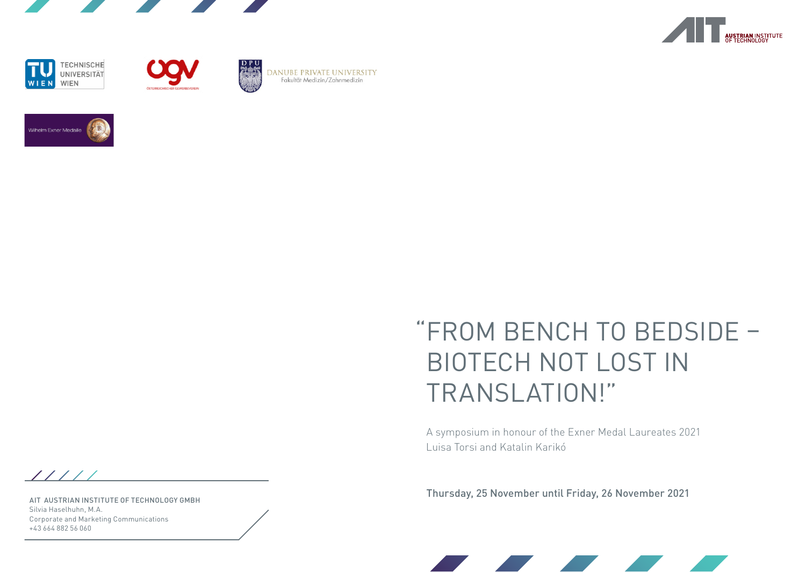







**ZAS** 

DANUBE PRIVATE UNIVERSITY<br>Fakultät Medizin/Zahnmedizin



# "FROM BENCH TO BEDSIDE – BIOTECH NOT LOST IN TRANSLATION!"

A symposium in honour of the Exner Medal Laureates 2021 Luisa Torsi and Katalin Karikó

Thursday, 25 November until Friday, 26 November 2021



AIT AUSTRIAN INSTITUTE OF TECHNOLOGY GMBH Silvia Haselhuhn, M.A. Corporate and Marketing Communications +43 664 882 56 060